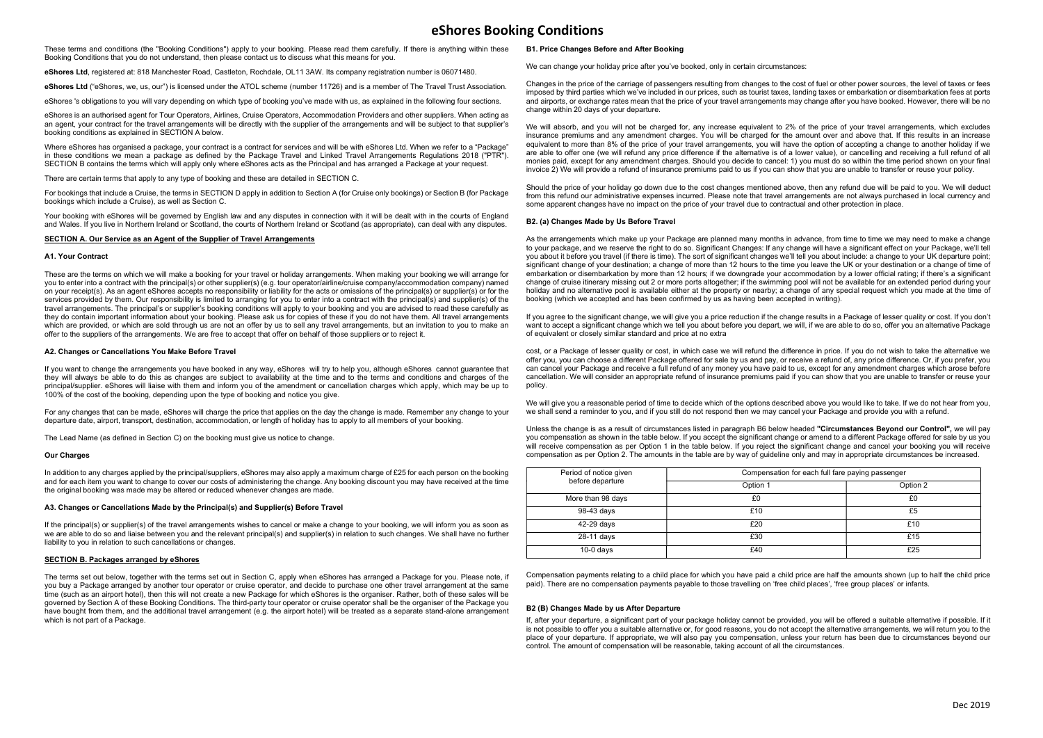These terms and conditions (the "Booking Conditions") apply to your booking. Please read them carefully. If there is anything within these Booking Conditions that you do not understand, then please contact us to discuss what this means for you.

eShores Ltd, registered at: 818 Manchester Road, Castleton, Rochdale, OL11 3AW. Its company registration number is 06071480.

eShores Ltd ("eShores, we, us, our") is licensed under the ATOL scheme (number 11726) and is a member of The Travel Trust Association.

eShores 's obligations to you will vary depending on which type of booking you've made with us, as explained in the following four sections.

eShores is an authorised agent for Tour Operators, Airlines, Cruise Operators, Accommodation Providers and other suppliers. When acting as an agent, your contract for the travel arrangements will be directly with the supplier of the arrangements and will be subject to that supplier's booking conditions as explained in SECTION A below.

Where eShores has organised a package, your contract is a contract for services and will be with eShores Ltd. When we refer to a "Package" in these conditions we mean a package as defined by the Package Travel and Linked Travel Arrangements Regulations 2018 ("PTR"). SECTION B contains the terms which will apply only where eShores acts as the Principal and has arranged a Package at your request.

There are certain terms that apply to any type of booking and these are detailed in SECTION C.

For bookings that include a Cruise, the terms in SECTION D apply in addition to Section A (for Cruise only bookings) or Section B (for Package bookings which include a Cruise), as well as Section C.

Your booking with eShores will be governed by English law and any disputes in connection with it will be dealt with in the courts of England and Wales. If you live in Northern Ireland or Scotland, the courts of Northern Ireland or Scotland (as appropriate), can deal with any disputes.

### SECTION A. Our Service as an Agent of the Supplier of Travel Arrangements

# A1. Your Contract

These are the terms on which we will make a booking for your travel or holiday arrangements. When making your booking we will arrange for you to enter into a contract with the principal(s) or other supplier(s) (e.g. tour operator/airline/cruise company/accommodation company) named on your receipt(s). As an agent eShores accepts no responsibility or liability for the acts or omissions of the principal(s) or supplier(s) or for the services provided by them. Our responsibility is limited to arranging for you to enter into a contract with the principal(s) and supplier(s) of the travel arrangements. The principal's or supplier's booking conditions will apply to your booking and you are advised to read these carefully as they do contain important information about your booking. Please ask us for copies of these if you do not have them. All travel arrangements which are provided, or which are sold through us are not an offer by us to sell any travel arrangements, but an invitation to you to make an offer to the suppliers of the arrangements. We are free to accept that offer on behalf of those suppliers or to reject it.

#### A2. Changes or Cancellations You Make Before Travel

If you want to change the arrangements you have booked in any way, eShores will try to help you, although eShores cannot guarantee that they will always be able to do this as changes are subject to availability at the time and to the terms and conditions and charges of the principal/supplier. eShores will liaise with them and inform you of the amendment or cancellation charges which apply, which may be up to 100% of the cost of the booking, depending upon the type of booking and notice you give.

For any changes that can be made, eShores will charge the price that applies on the day the change is made. Remember any change to your departure date, airport, transport, destination, accommodation, or length of holiday has to apply to all members of your booking.

The Lead Name (as defined in Section C) on the booking must give us notice to change.

## Our Charges

In addition to any charges applied by the principal/suppliers, eShores may also apply a maximum charge of £25 for each person on the booking and for each item you want to change to cover our costs of administering the change. Any booking discount you may have received at the time the original booking was made may be altered or reduced whenever changes are made.

# A3. Changes or Cancellations Made by the Principal(s) and Supplier(s) Before Travel

If the principal(s) or supplier(s) of the travel arrangements wishes to cancel or make a change to your booking, we will inform you as soon as we are able to do so and liaise between you and the relevant principal(s) and supplier(s) in relation to such changes. We shall have no further liability to you in relation to such cancellations or changes.

# SECTION B. Packages arranged by eShores

The terms set out below, together with the terms set out in Section C, apply when eShores has arranged a Package for you. Please note, if you buy a Package arranged by another tour operator or cruise operator, and decide to purchase one other travel arrangement at the same time (such as an airport hotel), then this will not create a new Package for which eShores is the organiser. Rather, both of these sales will be governed by Section A of these Booking Conditions. The third-party tour operator or cruise operator shall be the organiser of the Package you have bought from them, and the additional travel arrangement (e.g. the airport hotel) will be treated as a separate stand-alone arrangement which is not part of a Package.

## B1. Price Changes Before and After Booking

We can change your holiday price after you've booked, only in certain circumstances:

Changes in the price of the carriage of passengers resulting from changes to the cost of fuel or other power sources, the level of taxes or fees imposed by third parties which we've included in our prices, such as tourist taxes, landing taxes or embarkation or disembarkation fees at ports and airports, or exchange rates mean that the price of your travel arrangements may change after you have booked. However, there will be no change within 20 days of your departure.

We will absorb, and you will not be charged for, any increase equivalent to 2% of the price of your travel arrangements, which excludes insurance premiums and any amendment charges. You will be charged for the amount over and above that. If this results in an increase equivalent to more than 8% of the price of your travel arrangements, you will have the option of accepting a change to another holiday if we are able to offer one (we will refund any price difference if the alternative is of a lower value), or cancelling and receiving a full refund of all monies paid, except for any amendment charges. Should you decide to cancel: 1) you must do so within the time period shown on your final invoice 2) We will provide a refund of insurance premiums paid to us if you can show that you are unable to transfer or reuse your policy.

Should the price of your holiday go down due to the cost changes mentioned above, then any refund due will be paid to you. We will deduct from this refund our administrative expenses incurred. Please note that travel arrangements are not always purchased in local currency and some apparent changes have no impact on the price of your travel due to contractual and other protection in place.

# B2. (a) Changes Made by Us Before Travel

As the arrangements which make up your Package are planned many months in advance, from time to time we may need to make a change to your package, and we reserve the right to do so. Significant Changes: If any change will have a significant effect on your Package, we'll tell you about it before you travel (if there is time). The sort of significant changes we'll tell you about include: a change to your UK departure point; significant change of your destination; a change of more than 12 hours to the time you leave the UK or your destination or a change of time of embarkation or disembarkation by more than 12 hours; if we downgrade your accommodation by a lower official rating; if there's a significant change of cruise itinerary missing out 2 or more ports altogether; if the swimming pool will not be available for an extended period during your holiday and no alternative pool is available either at the property or nearby; a change of any special request which you made at the time of booking (which we accepted and has been confirmed by us as having been accepted in writing).

If you agree to the significant change, we will give you a price reduction if the change results in a Package of lesser quality or cost. If you don't want to accept a significant change which we tell you about before you depart, we will, if we are able to do so, offer you an alternative Package of equivalent or closely similar standard and price at no extra

cost, or a Package of lesser quality or cost, in which case we will refund the difference in price. If you do not wish to take the alternative we offer you, you can choose a different Package offered for sale by us and pay, or receive a refund of, any price difference. Or, if you prefer, you can cancel your Package and receive a full refund of any money you have paid to us, except for any amendment charges which arose before cancellation. We will consider an appropriate refund of insurance premiums paid if you can show that you are unable to transfer or reuse your policy.

We will give you a reasonable period of time to decide which of the options described above you would like to take. If we do not hear from you, we shall send a reminder to you, and if you still do not respond then we may cancel your Package and provide you with a refund.

Unless the change is as a result of circumstances listed in paragraph B6 below headed "Circumstances Beyond our Control", we will pay you compensation as shown in the table below. If you accept the significant change or amend to a different Package offered for sale by us you will receive compensation as per Option 1 in the table below. If you reject the significant change and cancel your booking you will receive compensation as per Option 2. The amounts in the table are by way of guideline only and may in appropriate circumstances be increased.

| Period of notice given<br>before departure | Compensation for each full fare paying passenger |          |
|--------------------------------------------|--------------------------------------------------|----------|
|                                            | Option 1                                         | Option 2 |
| More than 98 days                          | £0                                               | £0       |
| 98-43 days                                 | £10                                              | £5       |
| 42-29 days                                 | £20                                              | £10      |
| 28-11 days                                 | £30                                              | £15      |
| $10-0$ days                                | £40                                              | £25      |

Compensation payments relating to a child place for which you have paid a child price are half the amounts shown (up to half the child price paid). There are no compensation payments payable to those travelling on 'free child places', 'free group places' or infants.

## B2 (B) Changes Made by us After Departure

If, after your departure, a significant part of your package holiday cannot be provided, you will be offered a suitable alternative if possible. If it is not possible to offer you a suitable alternative or, for good reasons, you do not accept the alternative arrangements, we will return you to the place of your departure. If appropriate, we will also pay you compensation, unless your return has been due to circumstances beyond our control. The amount of compensation will be reasonable, taking account of all the circumstances.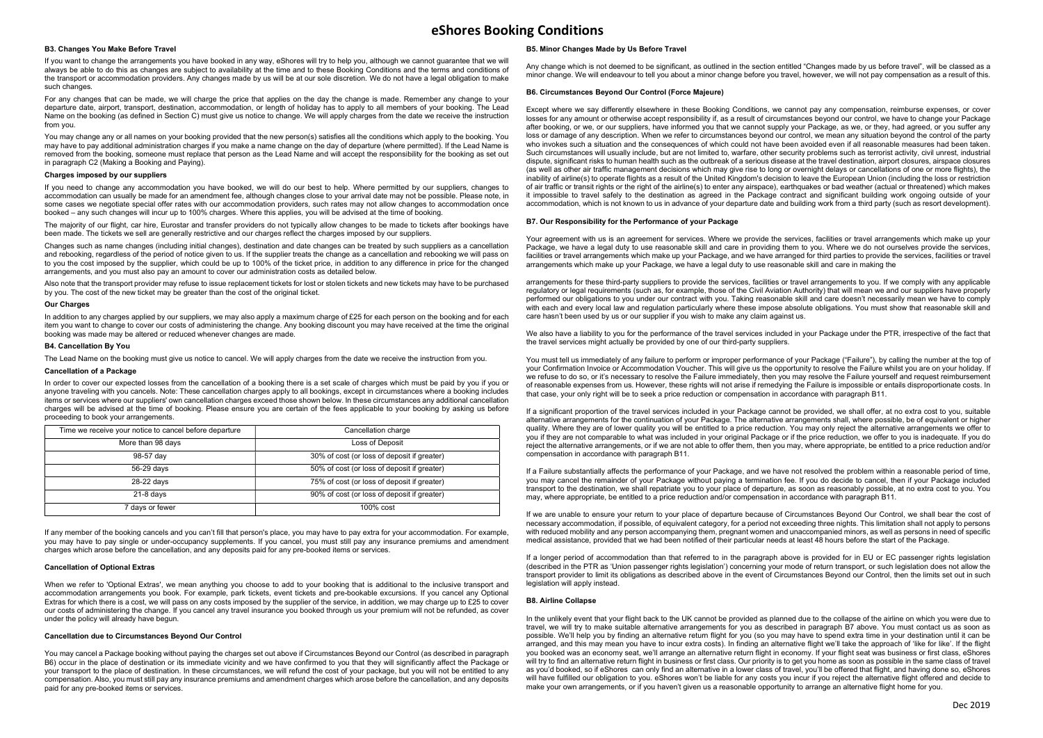# B3. Changes You Make Before Travel

If you want to change the arrangements you have booked in any way, eShores will try to help you, although we cannot guarantee that we will always be able to do this as changes are subject to availability at the time and to these Booking Conditions and the terms and conditions of the transport or accommodation providers. Any changes made by us will be at our sole discretion. We do not have a legal obligation to make such changes.

For any changes that can be made, we will charge the price that applies on the day the change is made. Remember any change to your departure date, airport, transport, destination, accommodation, or length of holiday has to apply to all members of your booking. The Lead Name on the booking (as defined in Section C) must give us notice to change. We will apply charges from the date we receive the instruction from you.

You may change any or all names on your booking provided that the new person(s) satisfies all the conditions which apply to the booking. You may have to pay additional administration charges if you make a name change on the day of departure (where permitted). If the Lead Name is removed from the booking, someone must replace that person as the Lead Name and will accept the responsibility for the booking as set out in paragraph C2 (Making a Booking and Paying).

#### Charges imposed by our suppliers

If you need to change any accommodation you have booked, we will do our best to help. Where permitted by our suppliers, changes to accommodation can usually be made for an amendment fee, although changes close to your arrival date may not be possible. Please note, in some cases we negotiate special offer rates with our accommodation providers, such rates may not allow changes to accommodation once booked – any such changes will incur up to 100% charges. Where this applies, you will be advised at the time of booking.

The majority of our flight, car hire, Eurostar and transfer providers do not typically allow changes to be made to tickets after bookings have been made. The tickets we sell are generally restrictive and our charges reflect the charges imposed by our suppliers.

Changes such as name changes (including initial changes), destination and date changes can be treated by such suppliers as a cancellation and rebooking, regardless of the period of notice given to us. If the supplier treats the change as a cancellation and rebooking we will pass on to you the cost imposed by the supplier, which could be up to 100% of the ticket price, in addition to any difference in price for the changed arrangements, and you must also pay an amount to cover our administration costs as detailed below.

Also note that the transport provider may refuse to issue replacement tickets for lost or stolen tickets and new tickets may have to be purchased by you. The cost of the new ticket may be greater than the cost of the original ticket.

#### Our Charges

In addition to any charges applied by our suppliers, we may also apply a maximum charge of £25 for each person on the booking and for each item you want to change to cover our costs of administering the change. Any booking discount you may have received at the time the original booking was made may be altered or reduced whenever changes are made.

## B4. Cancellation By You

The Lead Name on the booking must give us notice to cancel. We will apply charges from the date we receive the instruction from you.

## Cancellation of a Package

In order to cover our expected losses from the cancellation of a booking there is a set scale of charges which must be paid by you if you or anyone traveling with you cancels. Note: These cancellation charges apply to all bookings, except in circumstances where a booking includes items or services where our suppliers' own cancellation charges exceed those shown below. In these circumstances any additional cancellation charges will be advised at the time of booking. Please ensure you are certain of the fees applicable to your booking by asking us before proceeding to book your arrangements.

| Time we receive your notice to cancel before departure | Cancellation charge                         |
|--------------------------------------------------------|---------------------------------------------|
| More than 98 days                                      | Loss of Deposit                             |
| 98-57 day                                              | 30% of cost (or loss of deposit if greater) |
| 56-29 days                                             | 50% of cost (or loss of deposit if greater) |
| 28-22 days                                             | 75% of cost (or loss of deposit if greater) |
| $21-8$ davs                                            | 90% of cost (or loss of deposit if greater) |
| 7 days or fewer                                        | $100\%$ cost                                |

If any member of the booking cancels and you can't fill that person's place, you may have to pay extra for your accommodation. For example, you may have to pay single or under-occupancy supplements. If you cancel, you must still pay any insurance premiums and amendment charges which arose before the cancellation, and any deposits paid for any pre-booked items or services.

## Cancellation of Optional Extras

When we refer to 'Optional Extras', we mean anything you choose to add to your booking that is additional to the inclusive transport and accommodation arrangements you book. For example, park tickets, event tickets and pre-bookable excursions. If you cancel any Optional Extras for which there is a cost, we will pass on any costs imposed by the supplier of the service, in addition, we may charge up to £25 to cover our costs of administering the change. If you cancel any travel insurance you booked through us your premium will not be refunded, as cover under the policy will already have begun.

## Cancellation due to Circumstances Beyond Our Control

You may cancel a Package booking without paying the charges set out above if Circumstances Beyond our Control (as described in paragraph B6) occur in the place of destination or its immediate vicinity and we have confirmed to you that they will significantly affect the Package or your transport to the place of destination. In these circumstances, we will refund the cost of your package, but you will not be entitled to any compensation. Also, you must still pay any insurance premiums and amendment charges which arose before the cancellation, and any deposits paid for any pre-booked items or services.

## B5. Minor Changes Made by Us Before Travel

Any change which is not deemed to be significant, as outlined in the section entitled "Changes made by us before travel", will be classed as a minor change. We will endeavour to tell you about a minor change before you travel, however, we will not pay compensation as a result of this.

### B6. Circumstances Beyond Our Control (Force Majeure)

Except where we say differently elsewhere in these Booking Conditions, we cannot pay any compensation, reimburse expenses, or cover losses for any amount or otherwise accept responsibility if, as a result of circumstances beyond our control, we have to change your Package after booking, or we, or our suppliers, have informed you that we cannot supply your Package, as we, or they, had agreed, or you suffer any loss or damage of any description. When we refer to circumstances beyond our control, we mean any situation beyond the control of the party who invokes such a situation and the consequences of which could not have been avoided even if all reasonable measures had been taken. Such circumstances will usually include, but are not limited to, warfare, other security problems such as terrorist activity, civil unrest, industrial dispute, significant risks to human health such as the outbreak of a serious disease at the travel destination, airport closures, airspace closures (as well as other air traffic management decisions which may give rise to long or overnight delays or cancellations of one or more flights), the inability of airline(s) to operate flights as a result of the United Kingdom's decision to leave the European Union (including the loss or restriction of air traffic or transit rights or the right of the airline(s) to enter any airspace), earthquakes or bad weather (actual or threatened) which makes it impossible to travel safely to the destination as agreed in the Package contract and significant building work ongoing outside of your accommodation, which is not known to us in advance of your departure date and building work from a third party (such as resort development).

### B7. Our Responsibility for the Performance of your Package

Your agreement with us is an agreement for services. Where we provide the services, facilities or travel arrangements which make up your Package, we have a legal duty to use reasonable skill and care in providing them to you. Where we do not ourselves provide the services, facilities or travel arrangements which make up your Package, and we have arranged for third parties to provide the services, facilities or travel arrangements which make up your Package, we have a legal duty to use reasonable skill and care in making the

arrangements for these third-party suppliers to provide the services, facilities or travel arrangements to you. If we comply with any applicable regulatory or legal requirements (such as, for example, those of the Civil Aviation Authority) that will mean we and our suppliers have properly performed our obligations to you under our contract with you. Taking reasonable skill and care doesn't necessarily mean we have to comply with each and every local law and regulation particularly where these impose absolute obligations. You must show that reasonable skill and care hasn't been used by us or our supplier if you wish to make any claim against us.

We also have a liability to you for the performance of the travel services included in your Package under the PTR, irrespective of the fact that the travel services might actually be provided by one of our third-party suppliers.

You must tell us immediately of any failure to perform or improper performance of your Package ("Failure"), by calling the number at the top of your Confirmation Invoice or Accommodation Voucher. This will give us the opportunity to resolve the Failure whilst you are on your holiday. If we refuse to do so, or it's necessary to resolve the Failure immediately, then you may resolve the Failure yourself and request reimbursement of reasonable expenses from us. However, these rights will not arise if remedying the Failure is impossible or entails disproportionate costs. In that case, your only right will be to seek a price reduction or compensation in accordance with paragraph B11.

If a significant proportion of the travel services included in your Package cannot be provided, we shall offer, at no extra cost to you, suitable alternative arrangements for the continuation of your Package. The alternative arrangements shall, where possible, be of equivalent or higher quality. Where they are of lower quality you will be entitled to a price reduction. You may only reject the alternative arrangements we offer to you if they are not comparable to what was included in your original Package or if the price reduction, we offer to you is inadequate. If you do reject the alternative arrangements, or if we are not able to offer them, then you may, where appropriate, be entitled to a price reduction and/or compensation in accordance with paragraph B11.

If a Failure substantially affects the performance of your Package, and we have not resolved the problem within a reasonable period of time, you may cancel the remainder of your Package without paying a termination fee. If you do decide to cancel, then if your Package included transport to the destination, we shall repatriate you to your place of departure, as soon as reasonably possible, at no extra cost to you. You may, where appropriate, be entitled to a price reduction and/or compensation in accordance with paragraph B11.

If we are unable to ensure your return to your place of departure because of Circumstances Beyond Our Control, we shall bear the cost of necessary accommodation, if possible, of equivalent category, for a period not exceeding three nights. This limitation shall not apply to persons with reduced mobility and any person accompanying them, pregnant women and unaccompanied minors, as well as persons in need of specific medical assistance, provided that we had been notified of their particular needs at least 48 hours before the start of the Package.

If a longer period of accommodation than that referred to in the paragraph above is provided for in EU or EC passenger rights legislation (described in the PTR as 'Union passenger rights legislation') concerning your mode of return transport, or such legislation does not allow the transport provider to limit its obligations as described above in the event of Circumstances Beyond our Control, then the limits set out in such legislation will apply instead.

## B8. Airline Collapse

In the unlikely event that your flight back to the UK cannot be provided as planned due to the collapse of the airline on which you were due to travel, we will try to make suitable alternative arrangements for you as described in paragraph B7 above. You must contact us as soon as possible. We'll help you by finding an alternative return flight for you (so you may have to spend extra time in your destination until it can be arranged, and this may mean you have to incur extra costs). In finding an alternative flight we'll take the approach of 'like for like'. If the flight you booked was an economy seat, we'll arrange an alternative return flight in economy. If your flight seat was business or first class, eShores will try to find an alternative return flight in business or first class. Our priority is to get you home as soon as possible in the same class of travel as you'd booked, so if eShores can only find an alternative in a lower class of travel, you'll be offered that flight, and having done so, eShores will have fulfilled our obligation to you. eShores won't be liable for any costs you incur if you reject the alternative flight offered and decide to make your own arrangements, or if you haven't given us a reasonable opportunity to arrange an alternative flight home for you.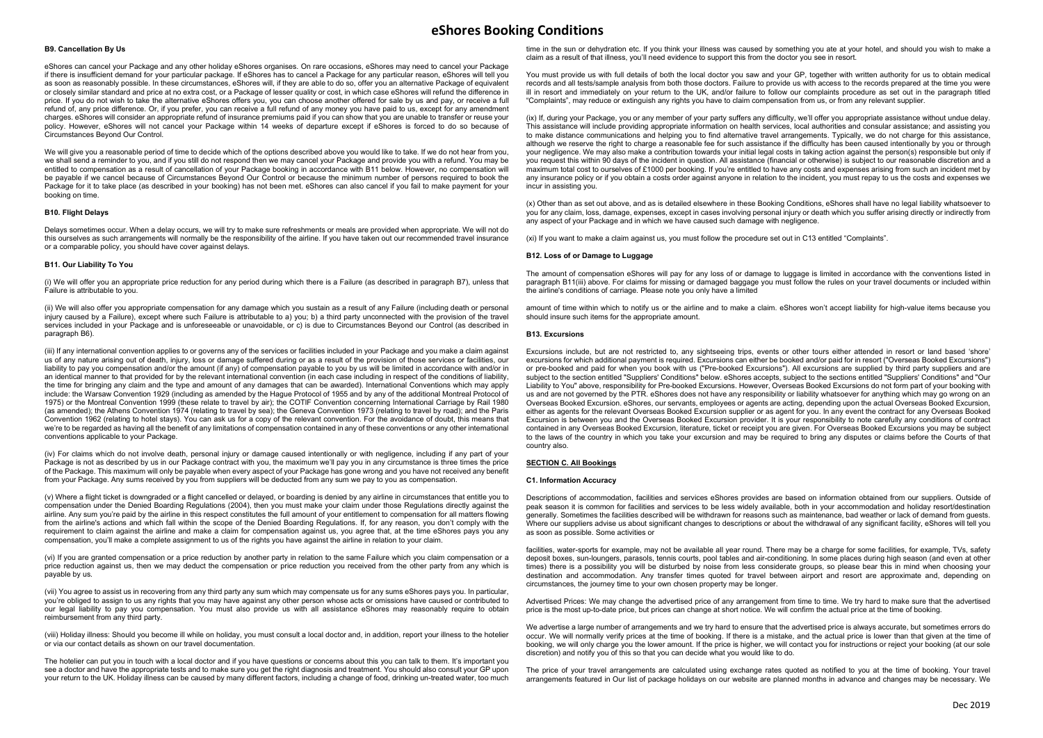## B9. Cancellation By Us

eShores can cancel your Package and any other holiday eShores organises. On rare occasions, eShores may need to cancel your Package if there is insufficient demand for your particular package. If eShores has to cancel a Package for any particular reason, eShores will tell you as soon as reasonably possible. In these circumstances, eShores will, if they are able to do so, offer you an alternative Package of equivalent or closely similar standard and price at no extra cost, or a Package of lesser quality or cost, in which case eShores will refund the difference in price. If you do not wish to take the alternative eShores offers you, you can choose another offered for sale by us and pay, or receive a full refund of, any price difference. Or, if you prefer, you can receive a full refund of any money you have paid to us, except for any amendment charges. eShores will consider an appropriate refund of insurance premiums paid if you can show that you are unable to transfer or reuse your policy. However, eShores will not cancel your Package within 14 weeks of departure except if eShores is forced to do so because of Circumstances Beyond Our Control.

We will give you a reasonable period of time to decide which of the options described above you would like to take. If we do not hear from you, we shall send a reminder to you, and if you still do not respond then we may cancel your Package and provide you with a refund. You may be entitled to compensation as a result of cancellation of your Package booking in accordance with B11 below. However, no compensation will be payable if we cancel because of Circumstances Beyond Our Control or because the minimum number of persons required to book the Package for it to take place (as described in your booking) has not been met. eShores can also cancel if you fail to make payment for your booking on time.

# B10. Flight Delays

Delays sometimes occur. When a delay occurs, we will try to make sure refreshments or meals are provided when appropriate. We will not do this ourselves as such arrangements will normally be the responsibility of the airline. If you have taken out our recommended travel insurance or a comparable policy, you should have cover against delays.

## B11. Our Liability To You

(i) We will offer you an appropriate price reduction for any period during which there is a Failure (as described in paragraph B7), unless that Failure is attributable to you.

(ii) We will also offer you appropriate compensation for any damage which you sustain as a result of any Failure (including death or personal injury caused by a Failure), except where such Failure is attributable to a) you; b) a third party unconnected with the provision of the travel services included in your Package and is unforeseeable or unavoidable, or c) is due to Circumstances Beyond our Control (as described in paragraph B6).

(iii) If any international convention applies to or governs any of the services or facilities included in your Package and you make a claim against us of any nature arising out of death, injury, loss or damage suffered during or as a result of the provision of those services or facilities, our liability to pay you compensation and/or the amount (if any) of compensation payable to you by us will be limited in accordance with and/or in an identical manner to that provided for by the relevant international convention (in each case including in respect of the conditions of liability, the time for bringing any claim and the type and amount of any damages that can be awarded). International Conventions which may apply include: the Warsaw Convention 1929 (including as amended by the Hague Protocol of 1955 and by any of the additional Montreal Protocol of 1975) or the Montreal Convention 1999 (these relate to travel by air); the COTIF Convention concerning International Carriage by Rail 1980 (as amended); the Athens Convention 1974 (relating to travel by sea); the Geneva Convention 1973 (relating to travel by road); and the Paris Convention 1962 (relating to hotel stays). You can ask us for a copy of the relevant convention. For the avoidance of doubt, this means that we're to be regarded as having all the benefit of any limitations of compensation contained in any of these conventions or any other international conventions applicable to your Package.

(iv) For claims which do not involve death, personal injury or damage caused intentionally or with negligence, including if any part of your Package is not as described by us in our Package contract with you, the maximum we'll pay you in any circumstance is three times the price of the Package. This maximum will only be payable when every aspect of your Package has gone wrong and you have not received any benefit from your Package. Any sums received by you from suppliers will be deducted from any sum we pay to you as compensation.

(v) Where a flight ticket is downgraded or a flight cancelled or delayed, or boarding is denied by any airline in circumstances that entitle you to compensation under the Denied Boarding Regulations (2004), then you must make your claim under those Regulations directly against the airline. Any sum you're paid by the airline in this respect constitutes the full amount of your entitlement to compensation for all matters flowing from the airline's actions and which fall within the scope of the Denied Boarding Regulations. If, for any reason, you don't comply with the requirement to claim against the airline and make a claim for compensation against us, you agree that, at the time eShores pays you any compensation, you'll make a complete assignment to us of the rights you have against the airline in relation to your claim.

(vi) If you are granted compensation or a price reduction by another party in relation to the same Failure which you claim compensation or a price reduction against us, then we may deduct the compensation or price reduction you received from the other party from any which is payable by us.

(vii) You agree to assist us in recovering from any third party any sum which may compensate us for any sums eShores pays you. In particular, you're obliged to assign to us any rights that you may have against any other person whose acts or omissions have caused or contributed to our legal liability to pay you compensation. You must also provide us with all assistance eShores may reasonably require to obtain reimbursement from any third party.

(viii) Holiday illness: Should you become ill while on holiday, you must consult a local doctor and, in addition, report your illness to the hotelier or via our contact details as shown on our travel documentation.

The hotelier can put you in touch with a local doctor and if you have questions or concerns about this you can talk to them. It's important you see a doctor and have the appropriate tests and to make sure you get the right diagnosis and treatment. You should also consult your GP upon your return to the UK. Holiday illness can be caused by many different factors, including a change of food, drinking un-treated water, too much

time in the sun or dehydration etc. If you think your illness was caused by something you ate at your hotel, and should you wish to make a claim as a result of that illness, you'll need evidence to support this from the doctor you see in resort.

You must provide us with full details of both the local doctor you saw and your GP, together with written authority for us to obtain medical records and all tests/sample analysis from both those doctors. Failure to provide us with access to the records prepared at the time you were ill in resort and immediately on your return to the UK, and/or failure to follow our complaints procedure as set out in the paragraph titled "Complaints", may reduce or extinguish any rights you have to claim compensation from us, or from any relevant supplier.

(ix) If, during your Package, you or any member of your party suffers any difficulty, we'll offer you appropriate assistance without undue delay. This assistance will include providing appropriate information on health services, local authorities and consular assistance; and assisting you to make distance communications and helping you to find alternative travel arrangements. Typically, we do not charge for this assistance, although we reserve the right to charge a reasonable fee for such assistance if the difficulty has been caused intentionally by you or through your negligence. We may also make a contribution towards your initial legal costs in taking action against the person(s) responsible but only if you request this within 90 days of the incident in question. All assistance (financial or otherwise) is subject to our reasonable discretion and a maximum total cost to ourselves of £1000 per booking. If you're entitled to have any costs and expenses arising from such an incident met by any insurance policy or if you obtain a costs order against anyone in relation to the incident, you must repay to us the costs and expenses we incur in assisting you.

(x) Other than as set out above, and as is detailed elsewhere in these Booking Conditions, eShores shall have no legal liability whatsoever to you for any claim, loss, damage, expenses, except in cases involving personal injury or death which you suffer arising directly or indirectly from any aspect of your Package and in which we have caused such damage with negligence.

(xi) If you want to make a claim against us, you must follow the procedure set out in C13 entitled "Complaints".

### B12. Loss of or Damage to Luggage

The amount of compensation eShores will pay for any loss of or damage to luggage is limited in accordance with the conventions listed in paragraph B11(iii) above. For claims for missing or damaged baggage you must follow the rules on your travel documents or included within the airline's conditions of carriage. Please note you only have a limited

amount of time within which to notify us or the airline and to make a claim. eShores won't accept liability for high-value items because you should insure such items for the appropriate amount.

#### B13. Excursions

Excursions include, but are not restricted to, any sightseeing trips, events or other tours either attended in resort or land based 'shore' excursions for which additional payment is required. Excursions can either be booked and/or paid for in resort ("Overseas Booked Excursions") or pre-booked and paid for when you book with us ("Pre-booked Excursions"). All excursions are supplied by third party suppliers and are subject to the section entitled "Suppliers' Conditions" below. eShores accepts, subject to the sections entitled "Suppliers' Conditions" and "Our Liability to You" above, responsibility for Pre-booked Excursions. However, Overseas Booked Excursions do not form part of your booking with us and are not governed by the PTR. eShores does not have any responsibility or liability whatsoever for anything which may go wrong on an Overseas Booked Excursion. eShores, our servants, employees or agents are acting, depending upon the actual Overseas Booked Excursion, either as agents for the relevant Overseas Booked Excursion supplier or as agent for you. In any event the contract for any Overseas Booked Excursion is between you and the Overseas Booked Excursion provider. It is your responsibility to note carefully any conditions of contract contained in any Overseas Booked Excursion, literature, ticket or receipt you are given. For Overseas Booked Excursions you may be subject to the laws of the country in which you take your excursion and may be required to bring any disputes or claims before the Courts of that country also.

#### SECTION C. All Bookings

## C1. Information Accuracy

Descriptions of accommodation, facilities and services eShores provides are based on information obtained from our suppliers. Outside of peak season it is common for facilities and services to be less widely available, both in your accommodation and holiday resort/destination generally. Sometimes the facilities described will be withdrawn for reasons such as maintenance, bad weather or lack of demand from guests. Where our suppliers advise us about significant changes to descriptions or about the withdrawal of any significant facility, eShores will tell you as soon as possible. Some activities or

facilities, water-sports for example, may not be available all year round. There may be a charge for some facilities, for example, TVs, safety deposit boxes, sun-loungers, parasols, tennis courts, pool tables and air-conditioning. In some places during high season (and even at other times) there is a possibility you will be disturbed by noise from less considerate groups, so please bear this in mind when choosing your destination and accommodation. Any transfer times quoted for travel between airport and resort are approximate and, depending on circumstances, the journey time to your own chosen property may be longer.

Advertised Prices: We may change the advertised price of any arrangement from time to time. We try hard to make sure that the advertised price is the most up-to-date price, but prices can change at short notice. We will confirm the actual price at the time of booking.

We advertise a large number of arrangements and we try hard to ensure that the advertised price is always accurate, but sometimes errors do occur. We will normally verify prices at the time of booking. If there is a mistake, and the actual price is lower than that given at the time of booking, we will only charge you the lower amount. If the price is higher, we will contact you for instructions or reject your booking (at our sole discretion) and notify you of this so that you can decide what you would like to do.

The price of your travel arrangements are calculated using exchange rates quoted as notified to you at the time of booking. Your travel arrangements featured in Our list of package holidays on our website are planned months in advance and changes may be necessary. We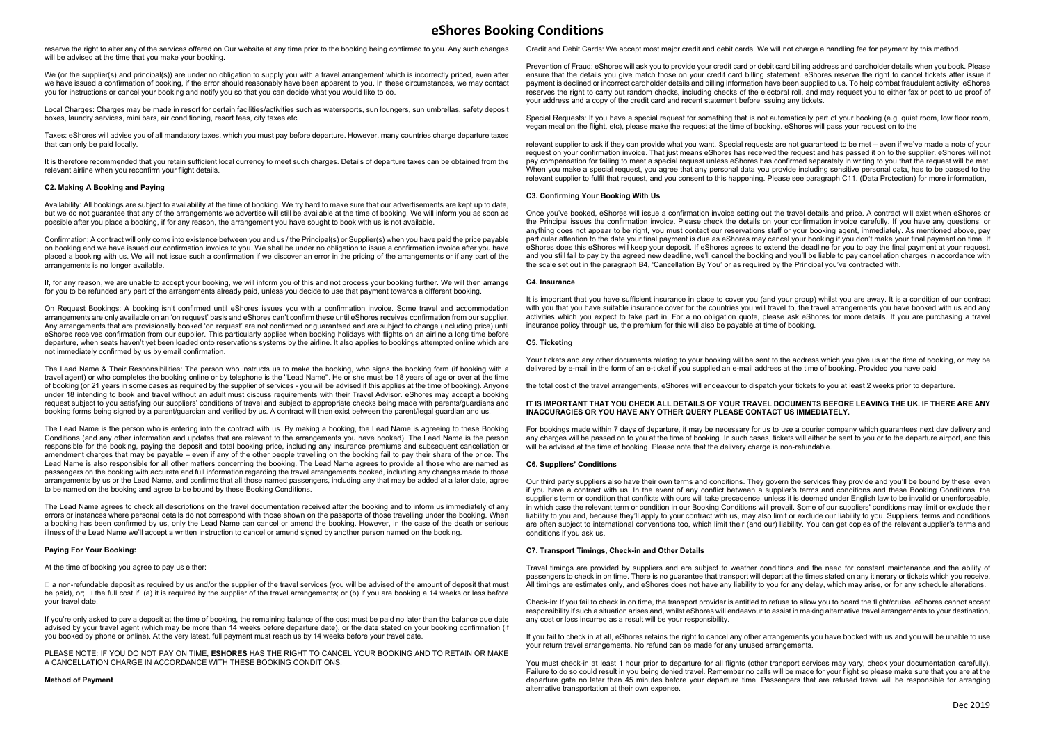reserve the right to alter any of the services offered on Our website at any time prior to the booking being confirmed to you. Any such changes will be advised at the time that you make your booking.

We (or the supplier(s) and principal(s)) are under no obligation to supply you with a travel arrangement which is incorrectly priced, even after we have issued a confirmation of booking, if the error should reasonably have been apparent to you. In these circumstances, we may contact you for instructions or cancel your booking and notify you so that you can decide what you would like to do.

Local Charges: Charges may be made in resort for certain facilities/activities such as watersports, sun loungers, sun umbrellas, safety deposit boxes, laundry services, mini bars, air conditioning, resort fees, city taxes etc.

Taxes: eShores will advise you of all mandatory taxes, which you must pay before departure. However, many countries charge departure taxes that can only be paid locally.

It is therefore recommended that you retain sufficient local currency to meet such charges. Details of departure taxes can be obtained from the relevant airline when you reconfirm your flight details.

## C2. Making A Booking and Paying

Availability: All bookings are subject to availability at the time of booking. We try hard to make sure that our advertisements are kept up to date, but we do not guarantee that any of the arrangements we advertise will still be available at the time of booking. We will inform you as soon as possible after you place a booking, if for any reason, the arrangement you have sought to book with us is not available.

Confirmation: A contract will only come into existence between you and us / the Principal(s) or Supplier(s) when you have paid the price payable on booking and we have issued our confirmation invoice to you. We shall be under no obligation to issue a confirmation invoice after you have placed a booking with us. We will not issue such a confirmation if we discover an error in the pricing of the arrangements or if any part of the arrangements is no longer available.

If, for any reason, we are unable to accept your booking, we will inform you of this and not process your booking further. We will then arrange for you to be refunded any part of the arrangements already paid, unless you decide to use that payment towards a different booking.

On Request Bookings: A booking isn't confirmed until eShores issues you with a confirmation invoice. Some travel and accommodation arrangements are only available on an 'on request' basis and eShores can't confirm these until eShores receives confirmation from our supplier. Any arrangements that are provisionally booked 'on request' are not confirmed or guaranteed and are subject to change (including price) until eShores receives confirmation from our supplier. This particularly applies when booking holidays with flights on an airline a long time before departure, when seats haven't yet been loaded onto reservations systems by the airline. It also applies to bookings attempted online which are not immediately confirmed by us by email confirmation.

The Lead Name & Their Responsibilities: The person who instructs us to make the booking, who signs the booking form (if booking with a travel agent) or who completes the booking online or by telephone is the ''Lead Name''. He or she must be 18 years of age or over at the time of booking (or 21 years in some cases as required by the supplier of services - you will be advised if this applies at the time of booking). Anyone under 18 intending to book and travel without an adult must discuss requirements with their Travel Advisor. eShores may accept a booking request subject to you satisfying our suppliers' conditions of travel and subject to appropriate checks being made with parents/guardians and booking forms being signed by a parent/guardian and verified by us. A contract will then exist between the parent/legal guardian and us.

The Lead Name is the person who is entering into the contract with us. By making a booking, the Lead Name is agreeing to these Booking Conditions (and any other information and updates that are relevant to the arrangements you have booked). The Lead Name is the person responsible for the booking, paying the deposit and total booking price, including any insurance premiums and subsequent cancellation or amendment charges that may be payable – even if any of the other people travelling on the booking fail to pay their share of the price. The Lead Name is also responsible for all other matters concerning the booking. The Lead Name agrees to provide all those who are named as passengers on the booking with accurate and full information regarding the travel arrangements booked, including any changes made to those arrangements by us or the Lead Name, and confirms that all those named passengers, including any that may be added at a later date, agree to be named on the booking and agree to be bound by these Booking Conditions.

The Lead Name agrees to check all descriptions on the travel documentation received after the booking and to inform us immediately of any errors or instances where personal details do not correspond with those shown on the passports of those travelling under the booking. When a booking has been confirmed by us, only the Lead Name can cancel or amend the booking. However, in the case of the death or serious illness of the Lead Name we'll accept a written instruction to cancel or amend signed by another person named on the booking.

### Paying For Your Booking:

At the time of booking you agree to pay us either:

□ a non-refundable deposit as required by us and/or the supplier of the travel services (you will be advised of the amount of deposit that must be paid), or:  $\Box$  the full cost if: (a) it is required by the supplier of the travel arrangements; or (b) if you are booking a 14 weeks or less before your travel date.

If you're only asked to pay a deposit at the time of booking, the remaining balance of the cost must be paid no later than the balance due date advised by your travel agent (which may be more than 14 weeks before departure date), or the date stated on your booking confirmation (if you booked by phone or online). At the very latest, full payment must reach us by 14 weeks before your travel date.

PLEASE NOTE: IF YOU DO NOT PAY ON TIME, ESHORES HAS THE RIGHT TO CANCEL YOUR BOOKING AND TO RETAIN OR MAKE A CANCELLATION CHARGE IN ACCORDANCE WITH THESE BOOKING CONDITIONS.

#### Method of Payment

Credit and Debit Cards: We accept most major credit and debit cards. We will not charge a handling fee for payment by this method.

Prevention of Fraud: eShores will ask you to provide your credit card or debit card billing address and cardholder details when you book. Please ensure that the details you give match those on your credit card billing statement. eShores reserve the right to cancel tickets after issue if payment is declined or incorrect cardholder details and billing information have been supplied to us. To help combat fraudulent activity, eShores reserves the right to carry out random checks, including checks of the electoral roll, and may request you to either fax or post to us proof of your address and a copy of the credit card and recent statement before issuing any tickets.

Special Requests: If you have a special request for something that is not automatically part of your booking (e.g. quiet room, low floor room, vegan meal on the flight, etc), please make the request at the time of booking. eShores will pass your request on to the

relevant supplier to ask if they can provide what you want. Special requests are not guaranteed to be met – even if we've made a note of your request on your confirmation invoice. That just means eShores has received the request and has passed it on to the supplier. eShores will not pay compensation for failing to meet a special request unless eShores has confirmed separately in writing to you that the request will be met. When you make a special request, you agree that any personal data you provide including sensitive personal data, has to be passed to the relevant supplier to fulfil that request, and you consent to this happening. Please see paragraph C11. (Data Protection) for more information,

#### C3. Confirming Your Booking With Us

Once you've booked, eShores will issue a confirmation invoice setting out the travel details and price. A contract will exist when eShores or the Principal issues the confirmation invoice. Please check the details on your confirmation invoice carefully. If you have any questions, or anything does not appear to be right, you must contact our reservations staff or your booking agent, immediately. As mentioned above, pay particular attention to the date your final payment is due as eShores may cancel your booking if you don't make your final payment on time. If eShores does this eShores will keep your deposit. If eShores agrees to extend the deadline for you to pay the final payment at your request, and you still fail to pay by the agreed new deadline, we'll cancel the booking and you'll be liable to pay cancellation charges in accordance with the scale set out in the paragraph B4, 'Cancellation By You' or as required by the Principal you've contracted with.

## C4. Insurance

It is important that you have sufficient insurance in place to cover you (and your group) whilst you are away. It is a condition of our contract with you that you have suitable insurance cover for the countries you will travel to, the travel arrangements you have booked with us and any activities which you expect to take part in. For a no obligation quote, please ask eShores for more details. If you are purchasing a travel insurance policy through us, the premium for this will also be payable at time of booking.

## C5. Ticketing

Your tickets and any other documents relating to your booking will be sent to the address which you give us at the time of booking, or may be delivered by e-mail in the form of an e-ticket if you supplied an e-mail address at the time of booking. Provided you have paid

the total cost of the travel arrangements, eShores will endeavour to dispatch your tickets to you at least 2 weeks prior to departure.

#### IT IS IMPORTANT THAT YOU CHECK ALL DETAILS OF YOUR TRAVEL DOCUMENTS BEFORE LEAVING THE UK. IF THERE ARE ANY INACCURACIES OR YOU HAVE ANY OTHER QUERY PLEASE CONTACT US IMMEDIATELY.

For bookings made within 7 days of departure, it may be necessary for us to use a courier company which guarantees next day delivery and any charges will be passed on to you at the time of booking. In such cases, tickets will either be sent to you or to the departure airport, and this will be advised at the time of booking. Please note that the delivery charge is non-refundable.

#### C6. Suppliers' Conditions

Our third party suppliers also have their own terms and conditions. They govern the services they provide and you'll be bound by these, even if you have a contract with us. In the event of any conflict between a supplier's terms and conditions and these Booking Conditions, the supplier's term or condition that conflicts with ours will take precedence, unless it is deemed under English law to be invalid or unenforceable, in which case the relevant term or condition in our Booking Conditions will prevail. Some of our suppliers' conditions may limit or exclude their liability to you and, because they'll apply to your contract with us, may also limit or exclude our liability to you. Suppliers' terms and conditions are often subject to international conventions too, which limit their (and our) liability. You can get copies of the relevant supplier's terms and conditions if you ask us.

#### C7. Transport Timings, Check-in and Other Details

Travel timings are provided by suppliers and are subject to weather conditions and the need for constant maintenance and the ability of passengers to check in on time. There is no guarantee that transport will depart at the times stated on any itinerary or tickets which you receive. All timings are estimates only, and eShores does not have any liability to you for any delay, which may arise, or for any schedule alterations.

Check-in: If you fail to check in on time, the transport provider is entitled to refuse to allow you to board the flight/cruise. eShores cannot accept responsibility if such a situation arises and, whilst eShores will endeavour to assist in making alternative travel arrangements to your destination, any cost or loss incurred as a result will be your responsibility.

If you fail to check in at all, eShores retains the right to cancel any other arrangements you have booked with us and you will be unable to use your return travel arrangements. No refund can be made for any unused arrangements.

You must check-in at least 1 hour prior to departure for all flights (other transport services may vary, check your documentation carefully). Failure to do so could result in you being denied travel. Remember no calls will be made for your flight so please make sure that you are at the departure gate no later than 45 minutes before your departure time. Passengers that are refused travel will be responsible for arranging alternative transportation at their own expense.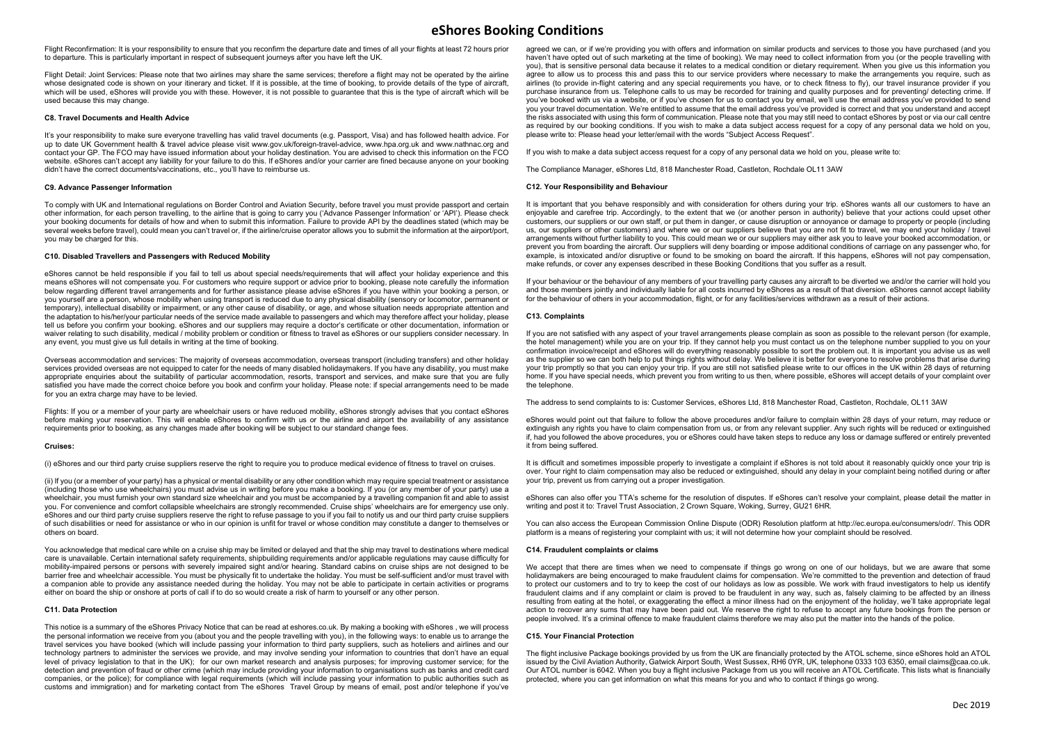Flight Reconfirmation: It is your responsibility to ensure that you reconfirm the departure date and times of all your flights at least 72 hours prior to departure. This is particularly important in respect of subsequent journeys after you have left the UK.

Flight Detail: Joint Services: Please note that two airlines may share the same services; therefore a flight may not be operated by the airline whose designated code is shown on your itinerary and ticket. If it is possible, at the time of booking, to provide details of the type of aircraft, which will be used, eShores will provide you with these. However, it is not possible to quarantee that this is the type of aircraft which will be used because this may change.

### C8. Travel Documents and Health Advice

It's your responsibility to make sure everyone travelling has valid travel documents (e.g. Passport, Visa) and has followed health advice. For up to date UK Government health & travel advice please visit www.gov.uk/foreign-travel-advice, www.hpa.org.uk and www.nathnac.org and contact your GP. The FCO may have issued information about your holiday destination. You are advised to check this information on the FCO website. eShores can't accept any liability for your failure to do this. If eShores and/or your carrier are fined because anyone on your booking didn't have the correct documents/vaccinations, etc., you'll have to reimburse us.

## C9. Advance Passenger Information

To comply with UK and International regulations on Border Control and Aviation Security, before travel you must provide passport and certain other information, for each person travelling, to the airline that is going to carry you ('Advance Passenger Information' or 'API'). Please check your booking documents for details of how and when to submit this information. Failure to provide API by the deadlines stated (which may be several weeks before travel), could mean you can't travel or, if the airline/cruise operator allows you to submit the information at the airport/port, you may be charged for this.

# C10. Disabled Travellers and Passengers with Reduced Mobility

eShores cannot be held responsible if you fail to tell us about special needs/requirements that will affect your holiday experience and this means eShores will not compensate you. For customers who require support or advice prior to booking, please note carefully the information below regarding different travel arrangements and for further assistance please advise eShores if you have within your booking a person, or you yourself are a person, whose mobility when using transport is reduced due to any physical disability (sensory or locomotor, permanent or temporary), intellectual disability or impairment, or any other cause of disability, or age, and whose situation needs appropriate attention and the adaptation to his/her/your particular needs of the service made available to passengers and which may therefore affect your holiday, please tell us before you confirm your booking. eShores and our suppliers may require a doctor's certificate or other documentation, information or waiver relating to such disability, medical / mobility problem or condition or fitness to travel as eShores or our suppliers consider necessary. In any event, you must give us full details in writing at the time of booking.

Overseas accommodation and services: The majority of overseas accommodation, overseas transport (including transfers) and other holiday services provided overseas are not equipped to cater for the needs of many disabled holidaymakers. If you have any disability, you must make appropriate enquiries about the suitability of particular accommodation, resorts, transport and services, and make sure that you are fully satisfied you have made the correct choice before you book and confirm your holiday. Please note: if special arrangements need to be made for you an extra charge may have to be levied.

Flights: If you or a member of your party are wheelchair users or have reduced mobility, eShores strongly advises that you contact eShores before making your reservation. This will enable eShores to confirm with us or the airline and airport the availability of any assistance requirements prior to booking, as any changes made after booking will be subject to our standard change fees.

#### Cruises:

(i) eShores and our third party cruise suppliers reserve the right to require you to produce medical evidence of fitness to travel on cruises.

(ii) If you (or a member of your party) has a physical or mental disability or any other condition which may require special treatment or assistance (including those who use wheelchairs) you must advise us in writing before you make a booking. If you (or any member of your party) use a wheelchair, you must furnish your own standard size wheelchair and you must be accompanied by a travelling companion fit and able to assist you. For convenience and comfort collapsible wheelchairs are strongly recommended. Cruise ships' wheelchairs are for emergency use only. eShores and our third party cruise suppliers reserve the right to refuse passage to you if you fail to notify us and our third party cruise suppliers of such disabilities or need for assistance or who in our opinion is unfit for travel or whose condition may constitute a danger to themselves or others on board.

You acknowledge that medical care while on a cruise ship may be limited or delayed and that the ship may travel to destinations where medical care is unavailable. Certain international safety requirements, shipbuilding requirements and/or applicable regulations may cause difficulty for mobility-impaired persons or persons with severely impaired sight and/or hearing. Standard cabins on cruise ships are not designed to be barrier free and wheelchair accessible. You must be physically fit to undertake the holiday. You must be self-sufficient and/or must travel with a companion able to provide any assistance needed during the holiday. You may not be able to participate in certain activities or programs either on board the ship or onshore at ports of call if to do so would create a risk of harm to yourself or any other person.

## C11. Data Protection

This notice is a summary of the eShores Privacy Notice that can be read at eshores.co.uk. By making a booking with eShores , we will process the personal information we receive from you (about you and the people travelling with you), in the following ways: to enable us to arrange the travel services you have booked (which will include passing your information to third party suppliers, such as hoteliers and airlines and our technology partners to administer the services we provide, and may involve sending your information to countries that don't have an equal level of privacy legislation to that in the UK); for our own market research and analysis purposes; for improving customer service; for the detection and prevention of fraud or other crime (which may include providing your information to organisations such as banks and credit card companies, or the police); for compliance with legal requirements (which will include passing your information to public authorities such as customs and immigration) and for marketing contact from The eShores Travel Group by means of email, post and/or telephone if you've

agreed we can, or if we're providing you with offers and information on similar products and services to those you have purchased (and you haven't have opted out of such marketing at the time of booking). We may need to collect information from you (or the people travelling with you), that is sensitive personal data because it relates to a medical condition or dietary requirement. When you give us this information you agree to allow us to process this and pass this to our service providers where necessary to make the arrangements you require, such as airlines (to provide in-flight catering and any special requirements you have, or to check fitness to fly), our travel insurance provider if you purchase insurance from us. Telephone calls to us may be recorded for training and quality purposes and for preventing/ detecting crime. If you've booked with us via a website, or if you've chosen for us to contact you by email, we'll use the email address you've provided to send you your travel documentation. We're entitled to assume that the email address you've provided is correct and that you understand and accept the risks associated with using this form of communication. Please note that you may still need to contact eShores by post or via our call centre as required by our booking conditions. If you wish to make a data subject access request for a copy of any personal data we hold on you, please write to: Please head your letter/email with the words "Subject Access Request".

If you wish to make a data subject access request for a copy of any personal data we hold on you, please write to:

The Compliance Manager, eShores Ltd, 818 Manchester Road, Castleton, Rochdale OL11 3AW

#### C12. Your Responsibility and Behaviour

It is important that you behave responsibly and with consideration for others during your trip. eShores wants all our customers to have an enjoyable and carefree trip. Accordingly, to the extent that we (or another person in authority) believe that your actions could upset other customers, our suppliers or our own staff, or put them in danger, or cause disruption or annoyance or damage to property or people (including us, our suppliers or other customers) and where we or our suppliers believe that you are not fit to travel, we may end your holiday / travel arrangements without further liability to you. This could mean we or our suppliers may either ask you to leave your booked accommodation, or prevent you from boarding the aircraft. Our suppliers will deny boarding or impose additional conditions of carriage on any passenger who, for example, is intoxicated and/or disruptive or found to be smoking on board the aircraft. If this happens, eShores will not pay compensation, make refunds, or cover any expenses described in these Booking Conditions that you suffer as a result.

If your behaviour or the behaviour of any members of your travelling party causes any aircraft to be diverted we and/or the carrier will hold you and those members jointly and individually liable for all costs incurred by eShores as a result of that diversion. eShores cannot accept liability for the behaviour of others in your accommodation, flight, or for any facilities/services withdrawn as a result of their actions.

#### C13. Complaints

If you are not satisfied with any aspect of your travel arrangements please complain as soon as possible to the relevant person (for example, the hotel management) while you are on your trip. If they cannot help you must contact us on the telephone number supplied to you on your confirmation invoice/receipt and eShores will do everything reasonably possible to sort the problem out. It is important you advise us as well as the supplier so we can both help to put things rights without delay. We believe it is better for everyone to resolve problems that arise during your trip promptly so that you can enjoy your trip. If you are still not satisfied please write to our offices in the UK within 28 days of returning home. If you have special needs, which prevent you from writing to us then, where possible, eShores will accept details of your complaint over the telephone.

The address to send complaints to is: Customer Services, eShores Ltd, 818 Manchester Road, Castleton, Rochdale, OL11 3AW

eShores would point out that failure to follow the above procedures and/or failure to complain within 28 days of your return, may reduce or extinguish any rights you have to claim compensation from us, or from any relevant supplier. Any such rights will be reduced or extinguished if, had you followed the above procedures, you or eShores could have taken steps to reduce any loss or damage suffered or entirely prevented it from being suffered.

It is difficult and sometimes impossible properly to investigate a complaint if eShores is not told about it reasonably quickly once your trip is over. Your right to claim compensation may also be reduced or extinguished, should any delay in your complaint being notified during or after your trip, prevent us from carrying out a proper investigation.

eShores can also offer you TTA's scheme for the resolution of disputes. If eShores can't resolve your complaint, please detail the matter in writing and post it to: Travel Trust Association, 2 Crown Square, Woking, Surrey, GU21 6HR.

You can also access the European Commission Online Dispute (ODR) Resolution platform at http://ec.europa.eu/consumers/odr/. This ODR platform is a means of registering your complaint with us; it will not determine how your complaint should be resolved.

# C14. Fraudulent complaints or claims

We accept that there are times when we need to compensate if things go wrong on one of our holidays, but we are aware that some holidaymakers are being encouraged to make fraudulent claims for compensation. We're committed to the prevention and detection of fraud to protect our customers and to try to keep the cost of our holidays as low as possible. We work with fraud investigators to help us identify fraudulent claims and if any complaint or claim is proved to be fraudulent in any way, such as, falsely claiming to be affected by an illness resulting from eating at the hotel, or exaggerating the effect a minor illness had on the enjoyment of the holiday, we'll take appropriate legal action to recover any sums that may have been paid out. We reserve the right to refuse to accept any future bookings from the person or people involved. It's a criminal offence to make fraudulent claims therefore we may also put the matter into the hands of the police.

# C15. Your Financial Protection

The flight inclusive Package bookings provided by us from the UK are financially protected by the ATOL scheme, since eShores hold an ATOL issued by the Civil Aviation Authority, Gatwick Airport South, West Sussex, RH6 0YR, UK, telephone 0333 103 6350, email claims@caa.co.uk. Our ATOL number is 6042. When you buy a flight inclusive Package from us you will receive an ATOL Certificate. This lists what is financially protected, where you can get information on what this means for you and who to contact if things go wrong.